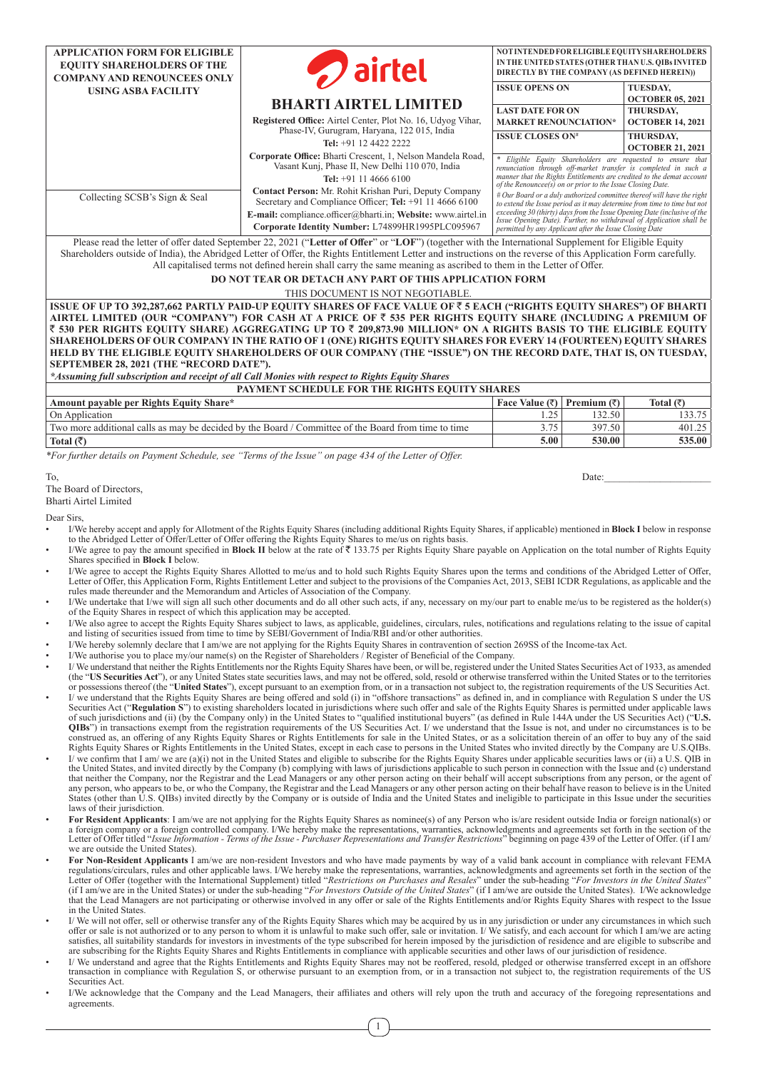| <b>APPLICATION FORM FOR ELIGIBLE</b><br><b>EQUITY SHAREHOLDERS OF THE</b><br><b>COMPANY AND RENOUNCEES ONLY</b> | $\gamma$ airtel                                                                                                                                                 | NOT INTENDED FOR ELIGIBLE EQUITY SHAREHOLDERS<br>IN THE UNITED STATES (OTHER THAN U.S. QIBs INVITED<br>DIRECTLY BY THE COMPANY (AS DEFINED HEREIN)) |                                      |  |  |  |
|-----------------------------------------------------------------------------------------------------------------|-----------------------------------------------------------------------------------------------------------------------------------------------------------------|-----------------------------------------------------------------------------------------------------------------------------------------------------|--------------------------------------|--|--|--|
| <b>USING ASBA FACILITY</b>                                                                                      |                                                                                                                                                                 | <b>ISSUE OPENS ON</b>                                                                                                                               | TUESDAY.                             |  |  |  |
|                                                                                                                 | <b>BHARTI AIRTEL LIMITED</b>                                                                                                                                    |                                                                                                                                                     | <b>OCTOBER 05, 2021</b>              |  |  |  |
|                                                                                                                 | Registered Office: Airtel Center, Plot No. 16, Udyog Vihar,                                                                                                     | <b>LAST DATE FOR ON</b><br><b>MARKET RENOUNCIATION*</b>                                                                                             | THURSDAY.<br><b>OCTOBER 14, 2021</b> |  |  |  |
|                                                                                                                 | Phase-IV, Gurugram, Haryana, 122 015, India                                                                                                                     |                                                                                                                                                     |                                      |  |  |  |
|                                                                                                                 | Tel: +91 12 4422 2222                                                                                                                                           | <b>ISSUE CLOSES ON#</b>                                                                                                                             | THURSDAY.                            |  |  |  |
|                                                                                                                 | * Eligible Equity Shareholders are requested to ensure that                                                                                                     | <b>OCTOBER 21, 2021</b>                                                                                                                             |                                      |  |  |  |
|                                                                                                                 | Corporate Office: Bharti Crescent, 1, Nelson Mandela Road,<br>Vasant Kunj, Phase II, New Delhi 110 070, India                                                   | renunciation through off-market transfer is completed in such a                                                                                     |                                      |  |  |  |
|                                                                                                                 | manner that the Rights Entitlements are credited to the demat account<br>of the Renouncee(s) on or prior to the Issue Closing Date.                             |                                                                                                                                                     |                                      |  |  |  |
| Collecting SCSB's Sign & Seal                                                                                   | Contact Person: Mr. Rohit Krishan Puri, Deputy Company                                                                                                          | $#$ Our Board or a duly authorized committee thereof will have the right                                                                            |                                      |  |  |  |
|                                                                                                                 | Secretary and Compliance Officer; Tel: +91 11 4666 6100                                                                                                         | to extend the Issue period as it may determine from time to time but not                                                                            |                                      |  |  |  |
|                                                                                                                 | E-mail: compliance.officer@bharti.in; Website: www.airtel.in                                                                                                    | exceeding 30 (thirty) days from the Issue Opening Date (inclusive of the<br>Issue Opening Date). Further, no withdrawal of Application shall be     |                                      |  |  |  |
| Corporate Identity Number: L74899HR1995PLC095967<br>permitted by any Applicant after the Issue Closing Date     |                                                                                                                                                                 |                                                                                                                                                     |                                      |  |  |  |
|                                                                                                                 | Please read the letter of offer dated September 22, 2021 ("Letter of Offer" or "LOF") (together with the International Supplement for Eligible Equity           |                                                                                                                                                     |                                      |  |  |  |
|                                                                                                                 | Shareholders outside of India), the Abridged Letter of Offer, the Rights Entitlement Letter and instructions on the reverse of this Application Form carefully. |                                                                                                                                                     |                                      |  |  |  |
|                                                                                                                 | All capitalised terms not defined herein shall carry the same meaning as ascribed to them in the Letter of Offer.                                               |                                                                                                                                                     |                                      |  |  |  |
|                                                                                                                 | <b>DO NOT TEAR OR DETACH ANY PART OF THIS APPLICATION FORM</b>                                                                                                  |                                                                                                                                                     |                                      |  |  |  |
|                                                                                                                 | THIS DOCUMENT IS NOT NEGOTIABLE.                                                                                                                                |                                                                                                                                                     |                                      |  |  |  |
|                                                                                                                 | ISSUE OF UP TO 392,287,662 PARTLY PAID-UP EQUITY SHARES OF FACE VALUE OF₹5 EACH ("RIGHTS EQUITY SHARES") OF BHARTI                                              |                                                                                                                                                     |                                      |  |  |  |
|                                                                                                                 | AIRTEL LIMITED (OUR "COMPANY") FOR CASH AT A PRICE OF ₹ 535 PER RIGHTS EQUITY SHARE (INCLUDING A PREMIUM OF                                                     |                                                                                                                                                     |                                      |  |  |  |
|                                                                                                                 | ₹530 PER RIGHTS EQUITY SHARE) AGGREGATING UP TO ₹ 209,873.90 MILLION* ON A RIGHTS BASIS TO THE ELIGIBLE EQUITY                                                  |                                                                                                                                                     |                                      |  |  |  |
|                                                                                                                 | SHAREHOLDERS OF OUR COMPANY IN THE RATIO OF 1 (ONE) RIGHTS EQUITY SHARES FOR EVERY 14 (FOURTEEN) EQUITY SHARES                                                  |                                                                                                                                                     |                                      |  |  |  |
|                                                                                                                 | HELD BY THE ELIGIBLE EQUITY SHAREHOLDERS OF OUR COMPANY (THE "ISSUE") ON THE RECORD DATE, THAT IS, ON TUESDAY,                                                  |                                                                                                                                                     |                                      |  |  |  |

**SEPTEMBER 28, 2021 (THE "RECORD DATE").** 

*\*Assuming full subscription and receipt of all Call Monies with respect to Rights Equity Shares*

| <b>PAYMENT SCHEDULE FOR THE RIGHTS EQUITY SHARES</b>                                                |                                                    |        |             |
|-----------------------------------------------------------------------------------------------------|----------------------------------------------------|--------|-------------|
| Amount payable per Rights Equity Share*                                                             | Face Value $(\bar{\tau})$   Premium $(\bar{\tau})$ |        | Total $($ ₹ |
| On Application                                                                                      | 25                                                 | 132.50 | 133.75      |
| Two more additional calls as may be decided by the Board / Committee of the Board from time to time | 3.75                                               | 397.50 | 401.25      |
| Total $(\bar{\zeta})$                                                                               | 5.00                                               | 530.00 | 535.00      |

*\*For further details on Payment Schedule, see "Terms of the Issue" on page 434 of the Letter of Offer.*

The Board of Directors,

Bharti Airtel Limited

Dear Sirs,

- I/We hereby accept and apply for Allotment of the Rights Equity Shares (including additional Rights Equity Shares, if applicable) mentioned in **Block I** below in response to the Abridged Letter of Offer/Letter of Offer offering the Rights Equity Shares to me/us on rights basis.
- I/We agree to pay the amount specified in **Block II** below at the rate of ₹ 133.75 per Rights Equity Share payable on Application on the total number of Rights Equity Shares specified in **Block I** below.
- I/We agree to accept the Rights Equity Shares Allotted to me/us and to hold such Rights Equity Shares upon the terms and conditions of the Abridged Letter of Offer, Letter of Offer, this Application Form, Rights Entitlement Letter and subject to the provisions of the Companies Act, 2013, SEBI ICDR Regulations, as applicable and the rules made thereunder and the Memorandum and Articles of Association of the Company.
- I/We undertake that I/we will sign all such other documents and do all other such acts, if any, necessary on my/our part to enable me/us to be registered as the holder(s) of the Equity Shares in respect of which this application may be accepted.
- I/We also agree to accept the Rights Equity Shares subject to laws, as applicable, guidelines, circulars, rules, notifications and regulations relating to the issue of capital and listing of securities issued from time to time by SEBI/Government of India/RBI and/or other authorities.
- I/We hereby solemnly declare that I am/we are not applying for the Rights Equity Shares in contravention of section 269SS of the Income-tax Act.
- I/We authorise you to place my/our name(s) on the Register of Shareholders / Register of Beneficial of the Company.
- I/ We understand that neither the Rights Entitlements nor the Rights Equity Shares have been, or will be, registered under the United States Securities Act of 1933, as amended (the "**US Securities Act**"), or any United States state securities laws, and may not be offered, sold, resold or otherwise transferred within the United States or to the territories or possessions thereof (the "**United States**"), except pursuant to an exemption from, or in a transaction not subject to, the registration requirements of the US Securities Act.
- I/ we understand that the Rights Equity Shares are being offered and sold (i) in "offshore transactions" as defined in, and in compliance with Regulation S under the US Securities Act ("Regulation S") to existing shareholders located in jurisdictions where such offer and sale of the Rights Equity Shares is permitted under applicable laws of such jurisdictions and (ii) (by the Company only construed as, an offering of any Rights Equity Shares or Rights Entitlements for sale in the United States, or as a solicitation therein of an offer to buy any of the said Rights Equity Shares or Rights Entitlements in the United States, except in each case to persons in the United States who invited directly by the Company are U.S.QIBs.
- I/ we confirm that I am/ we are (a)(i) not in the United States and eligible to subscribe for the Rights Equity Shares under applicable securities laws or (ii) a U.S. QIB in the United States, and invited directly by the Company (b) complying with laws of jurisdictions applicable to such person in connection with the Issue and (c) understand<br>that neither the Company, nor the Registrar and the States (other than U.S. QIBs) invited directly by the Company or is outside of India and the United States and ineligible to participate in this Issue under the securities laws of their jurisdiction.
- **For Resident Applicants**: I am/we are not applying for the Rights Equity Shares as nominee(s) of any Person who is/are resident outside India or foreign national(s) or a foreign company or a foreign controlled company. I/We hereby make the representations, warranties, acknowledgments and agreements set forth in the section of the<br>Letter of Offer titled "Issue Information - Terms of the I we are outside the United States).
- **For Non-Resident Applicants** I am/we are non-resident Investors and who have made payments by way of a valid bank account in compliance with relevant FEMA regulations/circulars, rules and other applicable laws. I/We hereby make the representations, warranties, acknowledgments and agreements set forth in the section of the Letter of Offer (together with the International Supplement) titled "*Restrictions on Purchases and Resales*" under the sub-heading "*For Investors in the United States*" (if I am/we are in the United States) or under the sub-heading "*For Investors Outside of the United States*" (if I am/we are outside the United States). I/We acknowledge that the Lead Managers are not participating or otherwise involved in any offer or sale of the Rights Entitlements and/or Rights Equity Shares with respect to the Issue in the United States.
- I/ We will not offer, sell or otherwise transfer any of the Rights Equity Shares which may be acquired by us in any jurisdiction or under any circumstances in which such offer or sale is not authorized or to any person to whom it is unlawful to make such offer, sale or invitation. I/ We satisfy, and each account for which I am/we are acting satisfies, all suitability standards for investors in investments of the type subscribed for herein imposed by the jurisdiction of residence and are eligible to subscribe and are subscribing for the Rights Equity Shares and Rights Entitlements in compliance with applicable securities and other laws of our jurisdiction of residence.
- I/ We understand and agree that the Rights Entitlements and Rights Equity Shares may not be reoffered, resold, pledged or otherwise transferred except in an offshore transaction in compliance with Regulation S, or otherwise pursuant to an exemption from, or in a transaction not subject to, the registration requirements of the US Securities Act.
- I/We acknowledge that the Company and the Lead Managers, their affiliates and others will rely upon the truth and accuracy of the foregoing representations and agreements.

To, Date: <u>Date:</u> To and the contract of the contract of the contract of the contract of the contract of the contract of the contract of the contract of the contract of the contract of the contract of the contract of the c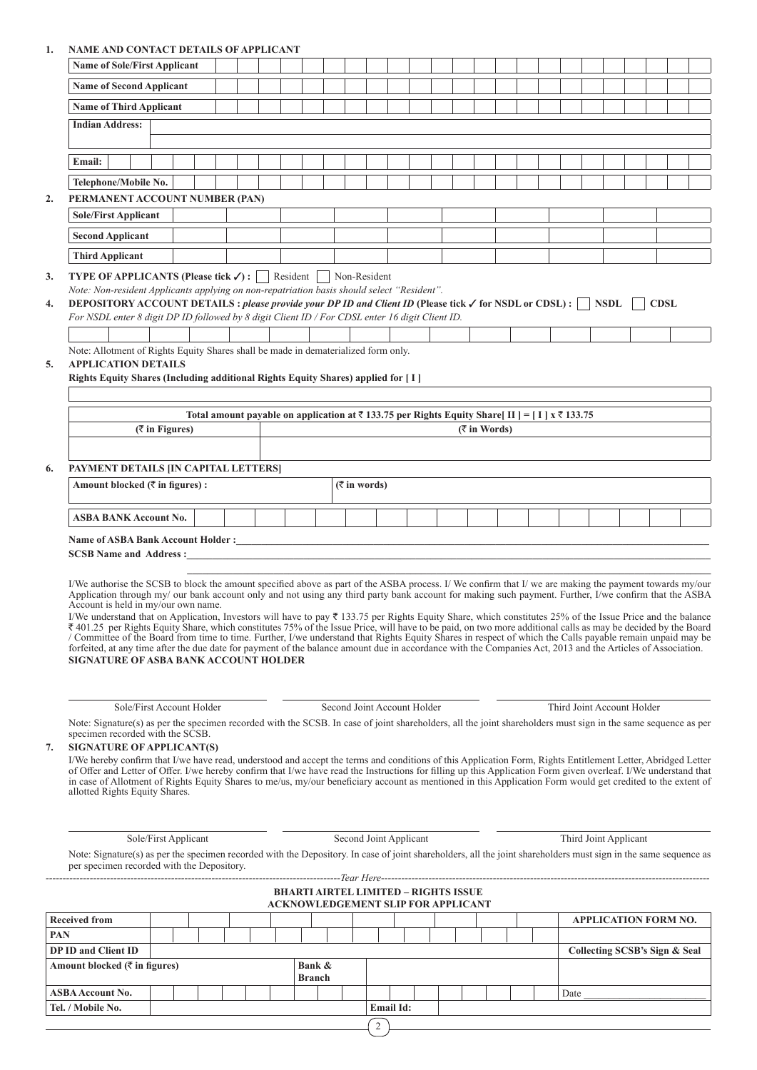## **1. NAME AND CONTACT DETAILS OF APPLICANT**

| <b>Name of Sole/First Applicant</b><br><b>Name of Second Applicant</b><br><b>Name of Third Applicant</b><br><b>Indian Address:</b><br>Email:<br>Telephone/Mobile No.<br>PERMANENT ACCOUNT NUMBER (PAN)<br>2.<br><b>Sole/First Applicant</b><br><b>Second Applicant</b><br><b>Third Applicant</b><br><b>TYPE OF APPLICANTS (Please tick <math>\checkmark</math>) :</b> Resident Non-Resident<br>3.<br>Note: Non-resident Applicants applying on non-repatriation basis should select "Resident".<br>DEPOSITORY ACCOUNT DETAILS : please provide your DP ID and Client ID (Please tick √ for NSDL or CDSL) : □ NSDL<br>4.<br>For NSDL enter 8 digit DP ID followed by 8 digit Client ID / For CDSL enter 16 digit Client ID.<br>Note: Allotment of Rights Equity Shares shall be made in dematerialized form only.<br><b>APPLICATION DETAILS</b><br>5.<br>Rights Equity Shares (Including additional Rights Equity Shares) applied for [I]<br>$($ ₹ in Figures)<br>PAYMENT DETAILS [IN CAPITAL LETTERS]<br>6.<br>Amount blocked $($ math>\bar{z} in figures) :<br>ASBA BANK Account No.<br>I/We authorise the SCSB to block the amount specified above as part of the ASBA process. I/We confirm that I/we are making the payment towards my/our<br>Application through my/ our bank account only and not using any third party bank account for making such payment. Further, I/we confirm that the ASBA<br>Account is held in my/our own name.<br>I/We understand that on Application, Investors will have to pay $\bar{\tau}$ 133.75 per Rights Equity Share, which constitutes 25% of the Issue Price and the balance<br>₹401.25 per Rights Equity Share, which constitutes 75% of the Issue Price, will have to be paid, on two more additional calls as may be decided by the Board<br>/ Committee of the Board from time to time. Further, I/we understand that Rights Equity Shares in respect of which the Calls payable remain unpaid may be<br>forfeited, at any time after the due date for payment of the balance amount due in accordance with the Companies Act, 2013 and the Articles of Association. | Total amount payable on application at $\overline{\tau}$ 133.75 per Rights Equity Share $\left  \Pi \right  = \left  \Pi \right  \times \overline{\tau}$ 133.75 |  |                                           |  | $(3\overline{5})$ in words) |                        |                                             |  | $($ ₹ in Words) |  |  |                            | <b>CDSL</b>                   |  |
|---------------------------------------------------------------------------------------------------------------------------------------------------------------------------------------------------------------------------------------------------------------------------------------------------------------------------------------------------------------------------------------------------------------------------------------------------------------------------------------------------------------------------------------------------------------------------------------------------------------------------------------------------------------------------------------------------------------------------------------------------------------------------------------------------------------------------------------------------------------------------------------------------------------------------------------------------------------------------------------------------------------------------------------------------------------------------------------------------------------------------------------------------------------------------------------------------------------------------------------------------------------------------------------------------------------------------------------------------------------------------------------------------------------------------------------------------------------------------------------------------------------------------------------------------------------------------------------------------------------------------------------------------------------------------------------------------------------------------------------------------------------------------------------------------------------------------------------------------------------------------------------------------------------------------------------------------------------------------------------------------------------------------------------------------------------------------------------------------------------------|-----------------------------------------------------------------------------------------------------------------------------------------------------------------|--|-------------------------------------------|--|-----------------------------|------------------------|---------------------------------------------|--|-----------------|--|--|----------------------------|-------------------------------|--|
|                                                                                                                                                                                                                                                                                                                                                                                                                                                                                                                                                                                                                                                                                                                                                                                                                                                                                                                                                                                                                                                                                                                                                                                                                                                                                                                                                                                                                                                                                                                                                                                                                                                                                                                                                                                                                                                                                                                                                                                                                                                                                                                     |                                                                                                                                                                 |  |                                           |  |                             |                        |                                             |  |                 |  |  |                            |                               |  |
|                                                                                                                                                                                                                                                                                                                                                                                                                                                                                                                                                                                                                                                                                                                                                                                                                                                                                                                                                                                                                                                                                                                                                                                                                                                                                                                                                                                                                                                                                                                                                                                                                                                                                                                                                                                                                                                                                                                                                                                                                                                                                                                     |                                                                                                                                                                 |  |                                           |  |                             |                        |                                             |  |                 |  |  |                            |                               |  |
|                                                                                                                                                                                                                                                                                                                                                                                                                                                                                                                                                                                                                                                                                                                                                                                                                                                                                                                                                                                                                                                                                                                                                                                                                                                                                                                                                                                                                                                                                                                                                                                                                                                                                                                                                                                                                                                                                                                                                                                                                                                                                                                     |                                                                                                                                                                 |  |                                           |  |                             |                        |                                             |  |                 |  |  |                            |                               |  |
|                                                                                                                                                                                                                                                                                                                                                                                                                                                                                                                                                                                                                                                                                                                                                                                                                                                                                                                                                                                                                                                                                                                                                                                                                                                                                                                                                                                                                                                                                                                                                                                                                                                                                                                                                                                                                                                                                                                                                                                                                                                                                                                     |                                                                                                                                                                 |  |                                           |  |                             |                        |                                             |  |                 |  |  |                            |                               |  |
|                                                                                                                                                                                                                                                                                                                                                                                                                                                                                                                                                                                                                                                                                                                                                                                                                                                                                                                                                                                                                                                                                                                                                                                                                                                                                                                                                                                                                                                                                                                                                                                                                                                                                                                                                                                                                                                                                                                                                                                                                                                                                                                     |                                                                                                                                                                 |  |                                           |  |                             |                        |                                             |  |                 |  |  |                            |                               |  |
|                                                                                                                                                                                                                                                                                                                                                                                                                                                                                                                                                                                                                                                                                                                                                                                                                                                                                                                                                                                                                                                                                                                                                                                                                                                                                                                                                                                                                                                                                                                                                                                                                                                                                                                                                                                                                                                                                                                                                                                                                                                                                                                     |                                                                                                                                                                 |  |                                           |  |                             |                        |                                             |  |                 |  |  |                            |                               |  |
|                                                                                                                                                                                                                                                                                                                                                                                                                                                                                                                                                                                                                                                                                                                                                                                                                                                                                                                                                                                                                                                                                                                                                                                                                                                                                                                                                                                                                                                                                                                                                                                                                                                                                                                                                                                                                                                                                                                                                                                                                                                                                                                     |                                                                                                                                                                 |  |                                           |  |                             |                        |                                             |  |                 |  |  |                            |                               |  |
|                                                                                                                                                                                                                                                                                                                                                                                                                                                                                                                                                                                                                                                                                                                                                                                                                                                                                                                                                                                                                                                                                                                                                                                                                                                                                                                                                                                                                                                                                                                                                                                                                                                                                                                                                                                                                                                                                                                                                                                                                                                                                                                     |                                                                                                                                                                 |  |                                           |  |                             |                        |                                             |  |                 |  |  |                            |                               |  |
|                                                                                                                                                                                                                                                                                                                                                                                                                                                                                                                                                                                                                                                                                                                                                                                                                                                                                                                                                                                                                                                                                                                                                                                                                                                                                                                                                                                                                                                                                                                                                                                                                                                                                                                                                                                                                                                                                                                                                                                                                                                                                                                     |                                                                                                                                                                 |  |                                           |  |                             |                        |                                             |  |                 |  |  |                            |                               |  |
|                                                                                                                                                                                                                                                                                                                                                                                                                                                                                                                                                                                                                                                                                                                                                                                                                                                                                                                                                                                                                                                                                                                                                                                                                                                                                                                                                                                                                                                                                                                                                                                                                                                                                                                                                                                                                                                                                                                                                                                                                                                                                                                     |                                                                                                                                                                 |  |                                           |  |                             |                        |                                             |  |                 |  |  |                            |                               |  |
|                                                                                                                                                                                                                                                                                                                                                                                                                                                                                                                                                                                                                                                                                                                                                                                                                                                                                                                                                                                                                                                                                                                                                                                                                                                                                                                                                                                                                                                                                                                                                                                                                                                                                                                                                                                                                                                                                                                                                                                                                                                                                                                     |                                                                                                                                                                 |  |                                           |  |                             |                        |                                             |  |                 |  |  |                            |                               |  |
|                                                                                                                                                                                                                                                                                                                                                                                                                                                                                                                                                                                                                                                                                                                                                                                                                                                                                                                                                                                                                                                                                                                                                                                                                                                                                                                                                                                                                                                                                                                                                                                                                                                                                                                                                                                                                                                                                                                                                                                                                                                                                                                     |                                                                                                                                                                 |  |                                           |  |                             |                        |                                             |  |                 |  |  |                            |                               |  |
|                                                                                                                                                                                                                                                                                                                                                                                                                                                                                                                                                                                                                                                                                                                                                                                                                                                                                                                                                                                                                                                                                                                                                                                                                                                                                                                                                                                                                                                                                                                                                                                                                                                                                                                                                                                                                                                                                                                                                                                                                                                                                                                     |                                                                                                                                                                 |  |                                           |  |                             |                        |                                             |  |                 |  |  |                            |                               |  |
|                                                                                                                                                                                                                                                                                                                                                                                                                                                                                                                                                                                                                                                                                                                                                                                                                                                                                                                                                                                                                                                                                                                                                                                                                                                                                                                                                                                                                                                                                                                                                                                                                                                                                                                                                                                                                                                                                                                                                                                                                                                                                                                     |                                                                                                                                                                 |  |                                           |  |                             |                        |                                             |  |                 |  |  |                            |                               |  |
|                                                                                                                                                                                                                                                                                                                                                                                                                                                                                                                                                                                                                                                                                                                                                                                                                                                                                                                                                                                                                                                                                                                                                                                                                                                                                                                                                                                                                                                                                                                                                                                                                                                                                                                                                                                                                                                                                                                                                                                                                                                                                                                     |                                                                                                                                                                 |  |                                           |  |                             |                        |                                             |  |                 |  |  |                            |                               |  |
|                                                                                                                                                                                                                                                                                                                                                                                                                                                                                                                                                                                                                                                                                                                                                                                                                                                                                                                                                                                                                                                                                                                                                                                                                                                                                                                                                                                                                                                                                                                                                                                                                                                                                                                                                                                                                                                                                                                                                                                                                                                                                                                     |                                                                                                                                                                 |  |                                           |  |                             |                        |                                             |  |                 |  |  |                            |                               |  |
|                                                                                                                                                                                                                                                                                                                                                                                                                                                                                                                                                                                                                                                                                                                                                                                                                                                                                                                                                                                                                                                                                                                                                                                                                                                                                                                                                                                                                                                                                                                                                                                                                                                                                                                                                                                                                                                                                                                                                                                                                                                                                                                     |                                                                                                                                                                 |  |                                           |  |                             |                        |                                             |  |                 |  |  |                            |                               |  |
|                                                                                                                                                                                                                                                                                                                                                                                                                                                                                                                                                                                                                                                                                                                                                                                                                                                                                                                                                                                                                                                                                                                                                                                                                                                                                                                                                                                                                                                                                                                                                                                                                                                                                                                                                                                                                                                                                                                                                                                                                                                                                                                     |                                                                                                                                                                 |  |                                           |  |                             |                        |                                             |  |                 |  |  |                            |                               |  |
|                                                                                                                                                                                                                                                                                                                                                                                                                                                                                                                                                                                                                                                                                                                                                                                                                                                                                                                                                                                                                                                                                                                                                                                                                                                                                                                                                                                                                                                                                                                                                                                                                                                                                                                                                                                                                                                                                                                                                                                                                                                                                                                     |                                                                                                                                                                 |  |                                           |  |                             |                        |                                             |  |                 |  |  |                            |                               |  |
|                                                                                                                                                                                                                                                                                                                                                                                                                                                                                                                                                                                                                                                                                                                                                                                                                                                                                                                                                                                                                                                                                                                                                                                                                                                                                                                                                                                                                                                                                                                                                                                                                                                                                                                                                                                                                                                                                                                                                                                                                                                                                                                     |                                                                                                                                                                 |  |                                           |  |                             |                        |                                             |  |                 |  |  |                            |                               |  |
|                                                                                                                                                                                                                                                                                                                                                                                                                                                                                                                                                                                                                                                                                                                                                                                                                                                                                                                                                                                                                                                                                                                                                                                                                                                                                                                                                                                                                                                                                                                                                                                                                                                                                                                                                                                                                                                                                                                                                                                                                                                                                                                     |                                                                                                                                                                 |  |                                           |  |                             |                        |                                             |  |                 |  |  |                            |                               |  |
|                                                                                                                                                                                                                                                                                                                                                                                                                                                                                                                                                                                                                                                                                                                                                                                                                                                                                                                                                                                                                                                                                                                                                                                                                                                                                                                                                                                                                                                                                                                                                                                                                                                                                                                                                                                                                                                                                                                                                                                                                                                                                                                     |                                                                                                                                                                 |  |                                           |  |                             |                        |                                             |  |                 |  |  |                            |                               |  |
|                                                                                                                                                                                                                                                                                                                                                                                                                                                                                                                                                                                                                                                                                                                                                                                                                                                                                                                                                                                                                                                                                                                                                                                                                                                                                                                                                                                                                                                                                                                                                                                                                                                                                                                                                                                                                                                                                                                                                                                                                                                                                                                     |                                                                                                                                                                 |  |                                           |  |                             |                        |                                             |  |                 |  |  |                            |                               |  |
|                                                                                                                                                                                                                                                                                                                                                                                                                                                                                                                                                                                                                                                                                                                                                                                                                                                                                                                                                                                                                                                                                                                                                                                                                                                                                                                                                                                                                                                                                                                                                                                                                                                                                                                                                                                                                                                                                                                                                                                                                                                                                                                     |                                                                                                                                                                 |  |                                           |  |                             |                        |                                             |  |                 |  |  |                            |                               |  |
|                                                                                                                                                                                                                                                                                                                                                                                                                                                                                                                                                                                                                                                                                                                                                                                                                                                                                                                                                                                                                                                                                                                                                                                                                                                                                                                                                                                                                                                                                                                                                                                                                                                                                                                                                                                                                                                                                                                                                                                                                                                                                                                     |                                                                                                                                                                 |  |                                           |  |                             |                        |                                             |  |                 |  |  |                            |                               |  |
| <b>SIGNATURE OF ASBA BANK ACCOUNT HOLDER</b>                                                                                                                                                                                                                                                                                                                                                                                                                                                                                                                                                                                                                                                                                                                                                                                                                                                                                                                                                                                                                                                                                                                                                                                                                                                                                                                                                                                                                                                                                                                                                                                                                                                                                                                                                                                                                                                                                                                                                                                                                                                                        |                                                                                                                                                                 |  |                                           |  |                             |                        |                                             |  |                 |  |  |                            |                               |  |
|                                                                                                                                                                                                                                                                                                                                                                                                                                                                                                                                                                                                                                                                                                                                                                                                                                                                                                                                                                                                                                                                                                                                                                                                                                                                                                                                                                                                                                                                                                                                                                                                                                                                                                                                                                                                                                                                                                                                                                                                                                                                                                                     |                                                                                                                                                                 |  |                                           |  |                             |                        |                                             |  |                 |  |  |                            |                               |  |
| Sole/First Account Holder<br>Note: Signature(s) as per the specimen recorded with the SCSB. In case of joint shareholders, all the joint shareholders must sign in the same sequence as per                                                                                                                                                                                                                                                                                                                                                                                                                                                                                                                                                                                                                                                                                                                                                                                                                                                                                                                                                                                                                                                                                                                                                                                                                                                                                                                                                                                                                                                                                                                                                                                                                                                                                                                                                                                                                                                                                                                         |                                                                                                                                                                 |  |                                           |  |                             |                        | Second Joint Account Holder                 |  |                 |  |  | Third Joint Account Holder |                               |  |
| specimen recorded with the SCSB.                                                                                                                                                                                                                                                                                                                                                                                                                                                                                                                                                                                                                                                                                                                                                                                                                                                                                                                                                                                                                                                                                                                                                                                                                                                                                                                                                                                                                                                                                                                                                                                                                                                                                                                                                                                                                                                                                                                                                                                                                                                                                    |                                                                                                                                                                 |  |                                           |  |                             |                        |                                             |  |                 |  |  |                            |                               |  |
| SIGNATURE OF APPLICANT(S)<br>7.                                                                                                                                                                                                                                                                                                                                                                                                                                                                                                                                                                                                                                                                                                                                                                                                                                                                                                                                                                                                                                                                                                                                                                                                                                                                                                                                                                                                                                                                                                                                                                                                                                                                                                                                                                                                                                                                                                                                                                                                                                                                                     |                                                                                                                                                                 |  |                                           |  |                             |                        |                                             |  |                 |  |  |                            |                               |  |
| I/We hereby confirm that I/we have read, understood and accept the terms and conditions of this Application Form, Rights Entitlement Letter, Abridged Letter<br>of Offer and Letter of Offer. I/we hereby confirm that I/we have read the Instructions for filling up this Application Form given overleaf. I/We understand that<br>in case of Allotment of Rights Equity Shares to me/us, my/our beneficiary account as mentioned in this Application Form would get credited to the extent of<br>allotted Rights Equity Shares.                                                                                                                                                                                                                                                                                                                                                                                                                                                                                                                                                                                                                                                                                                                                                                                                                                                                                                                                                                                                                                                                                                                                                                                                                                                                                                                                                                                                                                                                                                                                                                                   |                                                                                                                                                                 |  |                                           |  |                             |                        |                                             |  |                 |  |  |                            |                               |  |
|                                                                                                                                                                                                                                                                                                                                                                                                                                                                                                                                                                                                                                                                                                                                                                                                                                                                                                                                                                                                                                                                                                                                                                                                                                                                                                                                                                                                                                                                                                                                                                                                                                                                                                                                                                                                                                                                                                                                                                                                                                                                                                                     |                                                                                                                                                                 |  |                                           |  |                             |                        |                                             |  |                 |  |  |                            |                               |  |
| Sole/First Applicant<br>Note: Signature(s) as per the specimen recorded with the Depository. In case of joint shareholders, all the joint shareholders must sign in the same sequence as                                                                                                                                                                                                                                                                                                                                                                                                                                                                                                                                                                                                                                                                                                                                                                                                                                                                                                                                                                                                                                                                                                                                                                                                                                                                                                                                                                                                                                                                                                                                                                                                                                                                                                                                                                                                                                                                                                                            |                                                                                                                                                                 |  |                                           |  |                             | Second Joint Applicant |                                             |  |                 |  |  | Third Joint Applicant      |                               |  |
| per specimen recorded with the Depository.                                                                                                                                                                                                                                                                                                                                                                                                                                                                                                                                                                                                                                                                                                                                                                                                                                                                                                                                                                                                                                                                                                                                                                                                                                                                                                                                                                                                                                                                                                                                                                                                                                                                                                                                                                                                                                                                                                                                                                                                                                                                          |                                                                                                                                                                 |  |                                           |  |                             |                        |                                             |  |                 |  |  |                            |                               |  |
|                                                                                                                                                                                                                                                                                                                                                                                                                                                                                                                                                                                                                                                                                                                                                                                                                                                                                                                                                                                                                                                                                                                                                                                                                                                                                                                                                                                                                                                                                                                                                                                                                                                                                                                                                                                                                                                                                                                                                                                                                                                                                                                     |                                                                                                                                                                 |  |                                           |  |                             |                        | <b>BHARTI AIRTEL LIMITED - RIGHTS ISSUE</b> |  |                 |  |  |                            |                               |  |
| <b>Received from</b>                                                                                                                                                                                                                                                                                                                                                                                                                                                                                                                                                                                                                                                                                                                                                                                                                                                                                                                                                                                                                                                                                                                                                                                                                                                                                                                                                                                                                                                                                                                                                                                                                                                                                                                                                                                                                                                                                                                                                                                                                                                                                                |                                                                                                                                                                 |  |                                           |  |                             |                        |                                             |  |                 |  |  |                            |                               |  |
| PAN                                                                                                                                                                                                                                                                                                                                                                                                                                                                                                                                                                                                                                                                                                                                                                                                                                                                                                                                                                                                                                                                                                                                                                                                                                                                                                                                                                                                                                                                                                                                                                                                                                                                                                                                                                                                                                                                                                                                                                                                                                                                                                                 |                                                                                                                                                                 |  | <b>ACKNOWLEDGEMENT SLIP FOR APPLICANT</b> |  |                             |                        |                                             |  |                 |  |  |                            |                               |  |
| <b>DP ID and Client ID</b>                                                                                                                                                                                                                                                                                                                                                                                                                                                                                                                                                                                                                                                                                                                                                                                                                                                                                                                                                                                                                                                                                                                                                                                                                                                                                                                                                                                                                                                                                                                                                                                                                                                                                                                                                                                                                                                                                                                                                                                                                                                                                          |                                                                                                                                                                 |  |                                           |  |                             |                        |                                             |  |                 |  |  |                            | APPLICATION FORM NO.          |  |
|                                                                                                                                                                                                                                                                                                                                                                                                                                                                                                                                                                                                                                                                                                                                                                                                                                                                                                                                                                                                                                                                                                                                                                                                                                                                                                                                                                                                                                                                                                                                                                                                                                                                                                                                                                                                                                                                                                                                                                                                                                                                                                                     |                                                                                                                                                                 |  |                                           |  |                             |                        |                                             |  |                 |  |  |                            | Collecting SCSB's Sign & Seal |  |

|   | i, |
|---|----|
|   |    |
| I |    |
|   |    |
|   |    |

**ASBA Account No.** Date \_\_\_\_\_\_\_\_\_\_\_\_\_\_\_\_\_\_\_\_\_\_\_\_

**Tel. / Mobile No. Email Id:**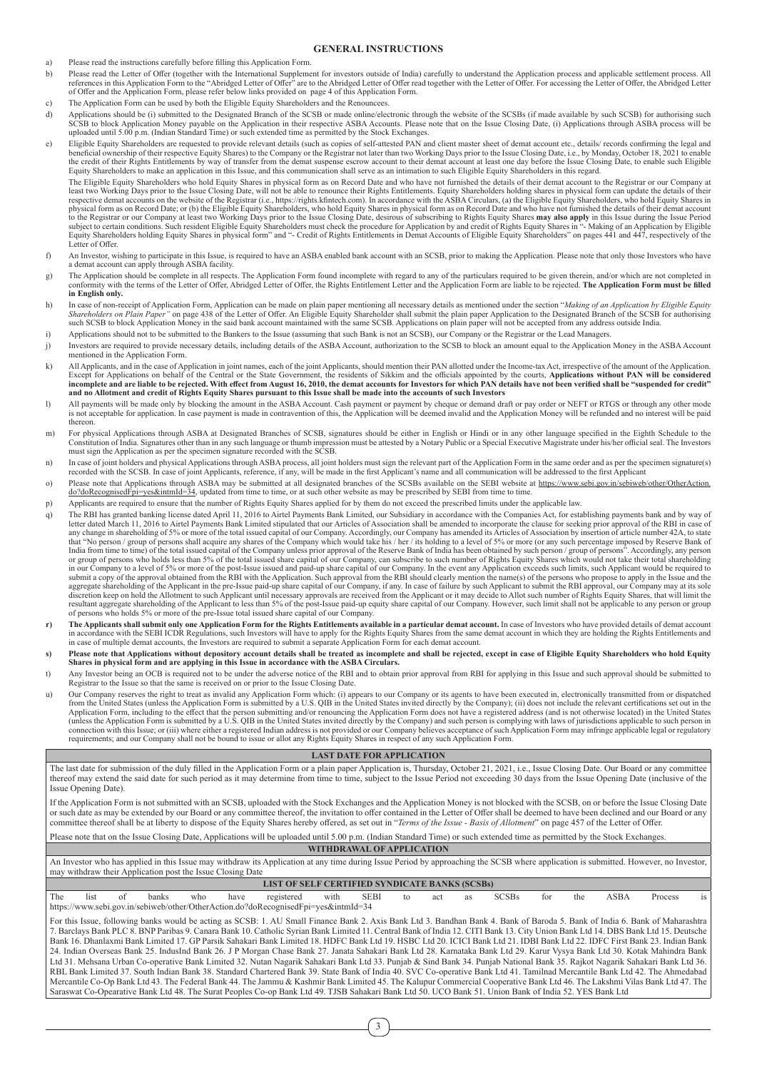## **GENERAL INSTRUCTIONS**

- a) Please read the instructions carefully before filling this Application Form.
- b) Please read the Letter of Offer (together with the International Supplement for investors outside of India) carefully to understand the Application process and applicable settlement process. All<br>references in this Appli of Offer and the Application Form, please refer below links provided on page 4 of this Application Form.
- c) The Application Form can be used by both the Eligible Equity Shareholders and the Renouncees.
- d) Applications should be (i) submitted to the Designated Branch of the SCSB or made online/electronic through the website of the SCSBs (if made available by such SCSB) for authorising such SCSB to block Application Money payable on the Application in their respective ASBA Accounts. Please note that on the Issue Closing Date, (i) Applications through ASBA process will be uploaded until 5.00 p.m. (Indian Stand
- e) Eligible Equity Shareholders are requested to provide relevant details (such as copies of self-attested PAN and client master sheet of demat account etc., details/ records confirming the legal and beneficial ownership o the credit of their Rights Entitlements by way of transfer from the demat suspense escrow account to their demat account at least one day before the Issue Closing Date, to enable such Eligible<br>Equity Shareholders to make a
- The Eligible Equity Shareholders who hold Equity Shares in physical form as on Record Date and who have not furnished the details of their demat account to the Registrar or our Company at least two Working Days prior to the Issue Closing Date, will not be able to renounce their Rights Entitlements. Equity Shareholders holding shares in physical form can update the details of their<br>respective demat accounts physical form as on Record Date; or (b) the Eligible Equity Shareholders, who hold Equity Shares in physical form as on Record Date and who have not furnished the details of their demat account<br>to the Registrar or our Comp subject to certain conditions. Such resident Eligible Equity Shareholders must check the procedure for Application by and credit of Rights Equity Shares in "- Making of an Application by Eligible<br>Equity Shareholders holdin Letter of Offer.
- f) An Investor, wishing to participate in this Issue, is required to have an ASBA enabled bank account with an SCSB, prior to making the Application. Please note that only those Investors who have a demat account can apply through ASBA facility.
- g) The Application should be complete in all respects. The Application Form found incomplete with regard to any of the particulars required to be given therein, and/or which are not completed in conformity with the terms o **in English only.**
- h) In case of non-receipt of Application Form, Application can be made on plain paper mentioning all necessary details as mentioned under the section "Making of an Application by Eligible Equity Shareholders on Plain Paper such SCSB to block Application Money in the said bank account maintained with the same SCSB. Applications on plain paper will not be accepted from any address outside India.
- i) Applications should not to be submitted to the Bankers to the Issue (assuming that such Bank is not an SCSB), our Company or the Registrar or the Lead Managers.
- j) Investors are required to provide necessary details, including details of the ASBA Account, authorization to the SCSB to block an amount equal to the Application Money in the ASBA Account mentioned in the Application Form.
- k) All Applicants, and in the case of Application in joint names, each of the joint Applicants, should mention their PAN allotted under the Income-tax Act, irrespective of the amount of the Application. Except for Applications on behalf of the Central or the State Government, the residents of Sikkim and the officials appointed by the courts. Applications without PAN will be considered incomplete and are liable to be rejected. With effect from August 16, 2010, the demat accounts for Investors for which PAN details have not been verified shall be "suspended for credit"<br>and no Allotment and credit of Right
- l) All payments will be made only by blocking the amount in the ASBA Account. Cash payment or payment by cheque or demand draft or pay order or NEFT or RTGS or through any other mode  $\frac{1}{2}$  is not acceptable for application. In case payment is made in contravention of this, the Application will be deemed invalid and the Application Money will be refunded and no interest will be paid in and the Appl thereon.
- m) For physical Applications through ASBA at Designated Branches of SCSB, signatures should be either in English or Hindi or in any other language specified in the Eighth Schedule to the Constitution of India. Signatures o must sign the Application as per the specimen signature recorded with the SCSB.
- n) In case of joint holders and physical Applications through ASBA process, all joint holders must sign the relevant part of the Application Form in the same order and as per the specimen signature(s) recorded with the SCS
- o) Please note that Applications through ASBA may be submitted at all designated branches of the SCSBs available on the SEBI website at https://www.sebi.gov.in/sebiweb/other/OtherAction. do?doRecognisedFpi=yes&intmId=34, updated from time to time, or at such other website as may be prescribed by SEBI from time to time.
- p) Applicants are required to ensure that the number of Rights Equity Shares applied for by them do not exceed the prescribed limits under the applicable law.
- q) The RBI has granted banking license dated April 11, 2016 to Airtel Payments Bank Limited, our Subsidiary in accordance with the Companies Act, for establishing payments bank and by way of letter dated March 11, 2016 to Airtel Payments Bank Limited stipulated that our Articles of Association shall be amended to incorporate the clause for seeking prior approval of the RBI in case of any change in shareholding of 5% or more of the total issued capital of our Company. Accordingly, our Company has amended its Articles of Association by insertion of article number 42A, to state<br>that "No person / group of India from time to time) of the total issued capital of the Company unless prior approval of the Reserve Bank of India has been obtained by such person / group of persons". Accordingly, any person<br>or group of persons who h submit a copy of the approval obtained from the RBI with the Application. Such approval from the RBI should clearly mention the name(s) of the persons who propose to apply in the Issue and the such approval from the RBI sh aggregate shareholding of the Applicant in the pre-Issue paid-up share capital of our Company, if any. In case of failure by such Applicant to submit the RBI approval, our Company may at its sole discretion keep on hold th
- r) The Applicants shall submit only one Application Form for the Rights Entitlements available in a particular demat account. In case of Investors who have provided details of demat account in accordance with the SEBI ICDR Regulations, such Investors will have to apply for the Rights Equity Shares from the same demat account in which they are holding the Rights Entitlements and<br>in case of multiple demat accou
- **s) Please note that Applications without depository account details shall be treated as incomplete and shall be rejected, except in case of Eligible Equity Shareholders who hold Equity Shares in physical form and are applying in this Issue in accordance with the ASBA Circulars.**
- Any Investor being an OCB is required not to be under the adverse notice of the RBI and to obtain prior approval from RBI for applying in this Issue and such approval should be submitted to Registrar to the Issue so that the same is received on or prior to the Issue Closing Date.
- U) Our Company reserves the right to treat as invalid any Application Form which: (i) appears to our Company or its agents to have been executed in, electronically transmitted from or dispatched<br>from the United States (unl connection with this Issue; or (iii) where either a registered Indian address is not provided or our Company believes acceptance of such Application Form may infringe applicable legal or regulatory<br>requirements; and our Co

## **LAST DATE FOR APPLICATION**

The last date for submission of the duly filled in the Application Form or a plain paper Application is, Thursday, October 21, 2021, i.e., Issue Closing Date. Our Board or any committee thereof may extend the said date for such period as it may determine from time to time, subject to the Issue Period not exceeding 30 days from the Issue Opening Date (inclusive of the Issue Opening Date).

If the Application Form is not submitted with an SCSB, uploaded with the Stock Exchanges and the Application Money is not blocked with the SCSB, on or before the Issue Closing Date or such date as may be extended by our Board or any committee thereof, the invitation to offer contained in the Letter of Offer shall be deemed to have been declined and our Board or any committee thereof shall be at liberty to dispose of the Equity Shares hereby offered, as set out in "*Terms of the Issue - Basis of Allotment*" on page 457 of the Letter of Offer.

Please note that on the Issue Closing Date, Applications will be uploaded until 5.00 p.m. (Indian Standard Time) or such extended time as permitted by the Stock Exchanges

## **WITHDRAWAL OF APPLICATION**

An Investor who has applied in this Issue may withdraw its Application at any time during Issue Period by approaching the SCSB where application is submitted. However, no Investor, may withdraw their Application post the Issue Closing Date **LIST OF SELF CERTIFIED SYNDICATE BANKS (SCSBs)**

| The | list \ | - of | banks | who l | have | registered                                                                         | with | SEBI to act |  | <b>as</b> | <b>SCSBs</b> | for | the | <b>ASRA</b> | Process |  |
|-----|--------|------|-------|-------|------|------------------------------------------------------------------------------------|------|-------------|--|-----------|--------------|-----|-----|-------------|---------|--|
|     |        |      |       |       |      | https://www.sebi.gov.in/sebiweb/other/OtherAction.do?doRecognisedFpi=ves&intmId=34 |      |             |  |           |              |     |     |             |         |  |

For this Issue, following banks would be acting as SCSB: 1. AU Small Finance Bank 2. Axis Bank Ltd 3. Bandhan Bank 4. Bank of Baroda 5. Bank of India 6. Bank of Maharashtra 7. Barclays Bank PLC 8. BNP Paribas 9. Canara Bank 10. Catholic Syrian Bank Limited 11. Central Bank of India 12. CITI Bank 13. City Union Bank Ltd 14. DBS Bank Ltd 15. Deutsche Bank 16. Dhanlaxmi Bank Limited 17. GP Parsik Sahakari Bank Limited 18. HDFC Bank Ltd 19. HSBC Ltd 20. ICICI Bank Ltd 21. IDBI Bank Ltd 22. IDFC First Bank 23. Indian Bank 24. Indian Overseas Bank 25. IndusInd Bank 26. J P Morgan Chase Bank 27. Janata Sahakari Bank Ltd 28. Karnataka Bank Ltd 29. Karur Vysya Bank Ltd 30. Kotak Mahindra Bank Ltd 31. Mehsana Urban Co-operative Bank Limited 32. Nutan Nagarik Sahakari Bank Ltd 33. Punjab & Sind Bank 34. Punjab National Bank 35. Rajkot Nagarik Sahakari Bank Ltd 36. RBL Bank Limited 37. South Indian Bank 38. Standard Chartered Bank 39. State Bank of India 40. SVC Co-operative Bank Ltd 41. Tamilnad Mercantile Bank Ltd 42. The Ahmedabad Mercantile Co-Op Bank Ltd 43. The Federal Bank 44. The Jammu & Kashmir Bank Limited 45. The Kalupur Commercial Cooperative Bank Ltd 46. The Lakshmi Vilas Bank Ltd 47. The Saraswat Co-Opearative Bank Ltd 48. The Surat Peoples Co-op Bank Ltd 49. TJSB Sahakari Bank Ltd 50. UCO Bank 51. Union Bank of India 52. YES Bank Ltd